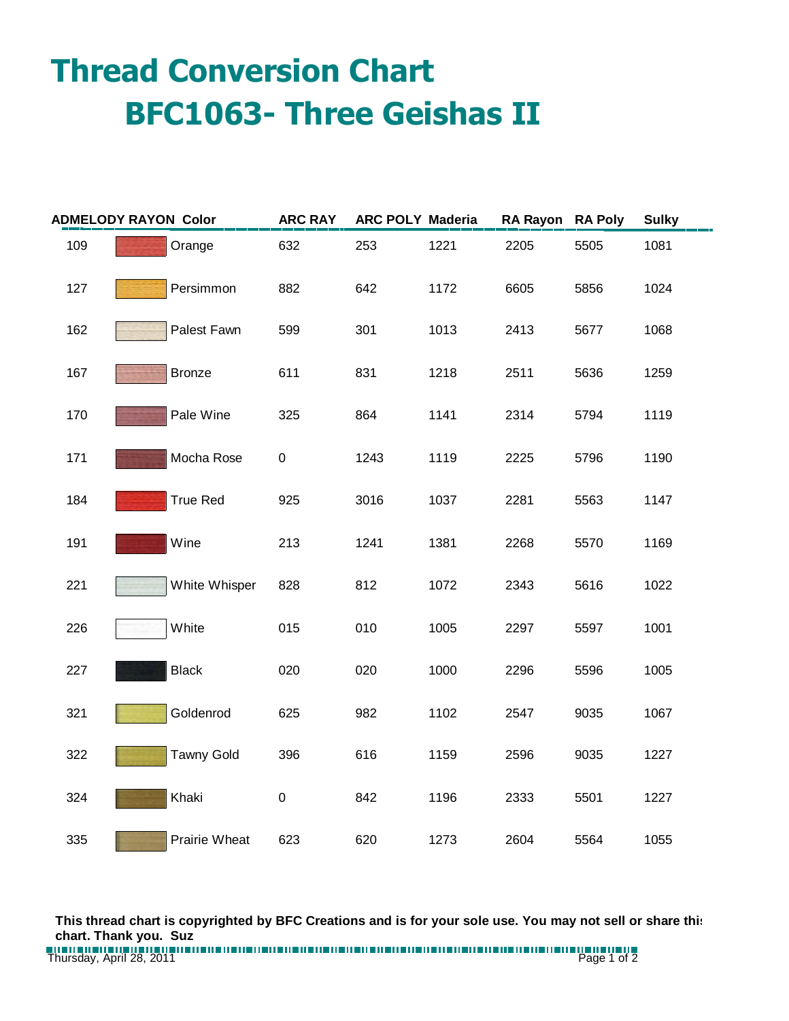## **Thread Conversion Chart BFC1063- Three Geishas II**

| <b>ADMELODY RAYON Color</b> |                   | <b>ARC RAY</b> | <b>ARC POLY Maderia</b> |      | RA Rayon RA Poly |      | <b>Sulky</b> |
|-----------------------------|-------------------|----------------|-------------------------|------|------------------|------|--------------|
| 109                         | Orange            | 632            | 253                     | 1221 | 2205             | 5505 | 1081         |
| 127                         | Persimmon         | 882            | 642                     | 1172 | 6605             | 5856 | 1024         |
| 162                         | Palest Fawn       | 599            | 301                     | 1013 | 2413             | 5677 | 1068         |
| 167                         | <b>Bronze</b>     | 611            | 831                     | 1218 | 2511             | 5636 | 1259         |
| 170                         | Pale Wine         | 325            | 864                     | 1141 | 2314             | 5794 | 1119         |
| 171                         | Mocha Rose        | 0              | 1243                    | 1119 | 2225             | 5796 | 1190         |
| 184                         | <b>True Red</b>   | 925            | 3016                    | 1037 | 2281             | 5563 | 1147         |
| 191                         | Wine              | 213            | 1241                    | 1381 | 2268             | 5570 | 1169         |
| 221                         | White Whisper     | 828            | 812                     | 1072 | 2343             | 5616 | 1022         |
| 226                         | White             | 015            | 010                     | 1005 | 2297             | 5597 | 1001         |
| 227                         | <b>Black</b>      | 020            | 020                     | 1000 | 2296             | 5596 | 1005         |
| 321                         | Goldenrod         | 625            | 982                     | 1102 | 2547             | 9035 | 1067         |
| 322                         | <b>Tawny Gold</b> | 396            | 616                     | 1159 | 2596             | 9035 | 1227         |
| 324                         | Khaki             | 0              | 842                     | 1196 | 2333             | 5501 | 1227         |
| 335                         | Prairie Wheat     | 623            | 620                     | 1273 | 2604             | 5564 | 1055         |

**This thread chart is copyrighted by BFC Creations and is for your sole use. You may not sell or share this chart. Thank you. Suz**